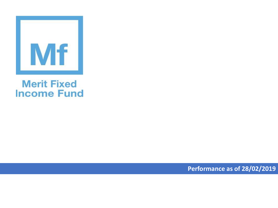

## **Merit Fixed Income Fund**

**Performance as of 28/02/2019**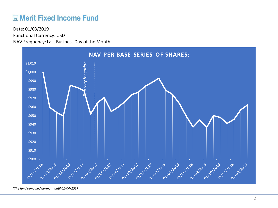## **ME Merit Fixed Income Fund**

Functional Currency: USD NAV Frequency: Last Business Day of the Month